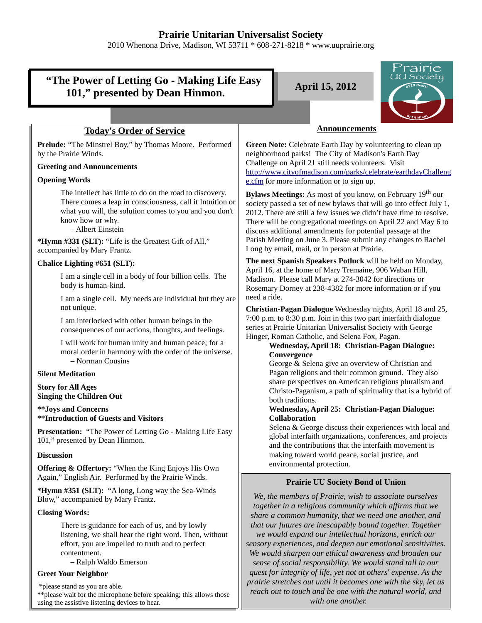## **Prairie Unitarian Universalist Society**

2010 Whenona Drive, Madison, WI 53711 \* 608-271-8218 \* www.uuprairie.org

| "The Power of Letting Go - Making Life Easy<br>101," presented by Dean Hinmon.                                                                                                                                           | Prairie<br><u>IU Society</u><br><b>April 15, 2012</b><br><b>DEN Hearts</b>                                                                                                                                                                                                                                                                                                                                                                                                                                                                                                                                                               |
|--------------------------------------------------------------------------------------------------------------------------------------------------------------------------------------------------------------------------|------------------------------------------------------------------------------------------------------------------------------------------------------------------------------------------------------------------------------------------------------------------------------------------------------------------------------------------------------------------------------------------------------------------------------------------------------------------------------------------------------------------------------------------------------------------------------------------------------------------------------------------|
|                                                                                                                                                                                                                          |                                                                                                                                                                                                                                                                                                                                                                                                                                                                                                                                                                                                                                          |
| <b>Today's Order of Service</b>                                                                                                                                                                                          | <b>Announcements</b>                                                                                                                                                                                                                                                                                                                                                                                                                                                                                                                                                                                                                     |
| Prelude: "The Minstrel Boy," by Thomas Moore. Performed<br>by the Prairie Winds.                                                                                                                                         | Green Note: Celebrate Earth Day by volunteering to clean up<br>neighborhood parks! The City of Madison's Earth Day                                                                                                                                                                                                                                                                                                                                                                                                                                                                                                                       |
| <b>Greeting and Announcements</b>                                                                                                                                                                                        | Challenge on April 21 still needs volunteers. Visit<br>http://www.cityofmadison.com/parks/celebrate/earthdayChalleng                                                                                                                                                                                                                                                                                                                                                                                                                                                                                                                     |
| <b>Opening Words</b>                                                                                                                                                                                                     | e.cfm for more information or to sign up.                                                                                                                                                                                                                                                                                                                                                                                                                                                                                                                                                                                                |
| The intellect has little to do on the road to discovery.<br>There comes a leap in consciousness, call it Intuition or<br>what you will, the solution comes to you and you don't<br>know how or why.<br>- Albert Einstein | Bylaws Meetings: As most of you know, on February 19 <sup>th</sup> our<br>society passed a set of new bylaws that will go into effect July 1,<br>2012. There are still a few issues we didn't have time to resolve.<br>There will be congregational meetings on April 22 and May 6 to<br>discuss additional amendments for potential passage at the                                                                                                                                                                                                                                                                                      |
| *Hymn #331 (SLT): "Life is the Greatest Gift of All,"<br>accompanied by Mary Frantz.                                                                                                                                     | Parish Meeting on June 3. Please submit any changes to Rachel<br>Long by email, mail, or in person at Prairie.                                                                                                                                                                                                                                                                                                                                                                                                                                                                                                                           |
| Chalice Lighting #651 (SLT):                                                                                                                                                                                             | The next Spanish Speakers Potluck will be held on Monday,<br>April 16, at the home of Mary Tremaine, 906 Waban Hill,<br>Madison. Please call Mary at 274-3042 for directions or<br>Rosemary Dorney at 238-4382 for more information or if you<br>need a ride.<br>Christian-Pagan Dialogue Wednesday nights, April 18 and 25,<br>7:00 p.m. to 8:30 p.m. Join in this two part interfaith dialogue<br>series at Prairie Unitarian Universalist Society with George<br>Hinger, Roman Catholic, and Selena Fox, Pagan.<br>Wednesday, April 18: Christian-Pagan Dialogue:<br>Convergence<br>George & Selena give an overview of Christian and |
| I am a single cell in a body of four billion cells. The<br>body is human-kind.                                                                                                                                           |                                                                                                                                                                                                                                                                                                                                                                                                                                                                                                                                                                                                                                          |
| I am a single cell. My needs are individual but they are<br>not unique.                                                                                                                                                  |                                                                                                                                                                                                                                                                                                                                                                                                                                                                                                                                                                                                                                          |
| I am interlocked with other human beings in the<br>consequences of our actions, thoughts, and feelings.                                                                                                                  |                                                                                                                                                                                                                                                                                                                                                                                                                                                                                                                                                                                                                                          |
| I will work for human unity and human peace; for a<br>moral order in harmony with the order of the universe.<br>- Norman Cousins                                                                                         |                                                                                                                                                                                                                                                                                                                                                                                                                                                                                                                                                                                                                                          |
| <b>Silent Meditation</b>                                                                                                                                                                                                 | Pagan religions and their common ground. They also                                                                                                                                                                                                                                                                                                                                                                                                                                                                                                                                                                                       |
| <b>Story for All Ages</b><br><b>Singing the Children Out</b>                                                                                                                                                             | share perspectives on American religious pluralism and<br>Christo-Paganism, a path of spirituality that is a hybrid of<br>both traditions.                                                                                                                                                                                                                                                                                                                                                                                                                                                                                               |
| ** Joys and Concerns<br>**Introduction of Guests and Visitors                                                                                                                                                            | Wednesday, April 25: Christian-Pagan Dialogue:<br><b>Collaboration</b>                                                                                                                                                                                                                                                                                                                                                                                                                                                                                                                                                                   |
| <b>Presentation:</b> "The Power of Letting Go - Making Life Easy<br>101," presented by Dean Hinmon.                                                                                                                      | Selena & George discuss their experiences with local and<br>global interfaith organizations, conferences, and projects<br>and the contributions that the interfaith movement is                                                                                                                                                                                                                                                                                                                                                                                                                                                          |
| <b>Discussion</b>                                                                                                                                                                                                        | making toward world peace, social justice, and                                                                                                                                                                                                                                                                                                                                                                                                                                                                                                                                                                                           |
| <b>Offering &amp; Offertory:</b> "When the King Enjoys His Own<br>Again," English Air. Performed by the Prairie Winds.                                                                                                   | environmental protection.<br><b>Prairie UU Society Bond of Union</b>                                                                                                                                                                                                                                                                                                                                                                                                                                                                                                                                                                     |
| *Hymn #351 (SLT): "A long, Long way the Sea-Winds<br>Blow," accompanied by Mary Frantz.                                                                                                                                  | We, the members of Prairie, wish to associate ourselves                                                                                                                                                                                                                                                                                                                                                                                                                                                                                                                                                                                  |
| <b>Closing Words:</b>                                                                                                                                                                                                    | together in a religious community which affirms that we<br>share a common humanity, that we need one another, and                                                                                                                                                                                                                                                                                                                                                                                                                                                                                                                        |
| There is guidance for each of us, and by lowly<br>listening, we shall hear the right word. Then, without<br>effort, you are impelled to truth and to perfect<br>contentment.<br>- Ralph Waldo Emerson                    | that our futures are inescapably bound together. Together<br>we would expand our intellectual horizons, enrich our<br>sensory experiences, and deepen our emotional sensitivities.<br>We would sharpen our ethical awareness and broaden our<br>sense of social responsibility. We would stand tall in our                                                                                                                                                                                                                                                                                                                               |
| <b>Greet Your Neighbor</b>                                                                                                                                                                                               | quest for integrity of life, yet not at others' expense. As the                                                                                                                                                                                                                                                                                                                                                                                                                                                                                                                                                                          |
| *please stand as you are able.<br>** please wait for the microphone before speaking; this allows those<br>using the assistive listening devices to hear.                                                                 | prairie stretches out until it becomes one with the sky, let us<br>reach out to touch and be one with the natural world, and<br>with one another.                                                                                                                                                                                                                                                                                                                                                                                                                                                                                        |